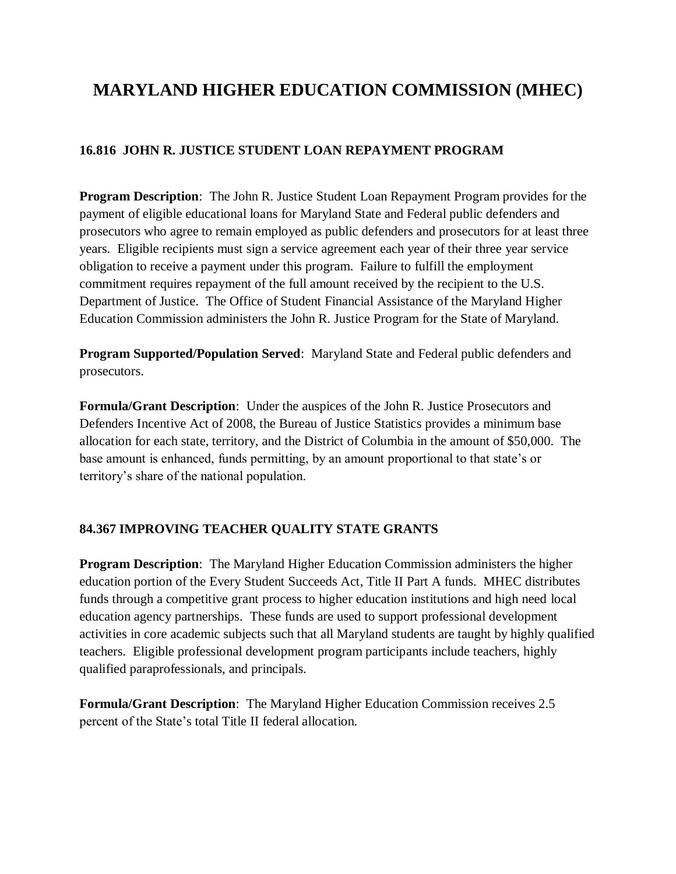## **MARYLAND HIGHER EDUCATION COMMISSION (MHEC)**

## **16.816 JOHN R. JUSTICE STUDENT LOAN REPAYMENT PROGRAM**

**Program Description**: The John R. Justice Student Loan Repayment Program provides for the payment of eligible educational loans for Maryland State and Federal public defenders and prosecutors who agree to remain employed as public defenders and prosecutors for at least three years. Eligible recipients must sign a service agreement each year of their three year service obligation to receive a payment under this program. Failure to fulfill the employment commitment requires repayment of the full amount received by the recipient to the U.S. Department of Justice. The Office of Student Financial Assistance of the Maryland Higher Education Commission administers the John R. Justice Program for the State of Maryland.

**Program Supported/Population Served**: Maryland State and Federal public defenders and prosecutors.

**Formula/Grant Description**: Under the auspices of the John R. Justice Prosecutors and Defenders Incentive Act of 2008, the Bureau of Justice Statistics provides a minimum base allocation for each state, territory, and the District of Columbia in the amount of \$50,000. The base amount is enhanced, funds permitting, by an amount proportional to that state's or territory's share of the national population.

## **84.367 IMPROVING TEACHER QUALITY STATE GRANTS**

**Program Description**: The Maryland Higher Education Commission administers the higher education portion of the Every Student Succeeds Act, Title II Part A funds. MHEC distributes funds through a competitive grant process to higher education institutions and high need local education agency partnerships. These funds are used to support professional development activities in core academic subjects such that all Maryland students are taught by highly qualified teachers. Eligible professional development program participants include teachers, highly qualified paraprofessionals, and principals.

**Formula/Grant Description**: The Maryland Higher Education Commission receives 2.5 percent of the State's total Title II federal allocation.